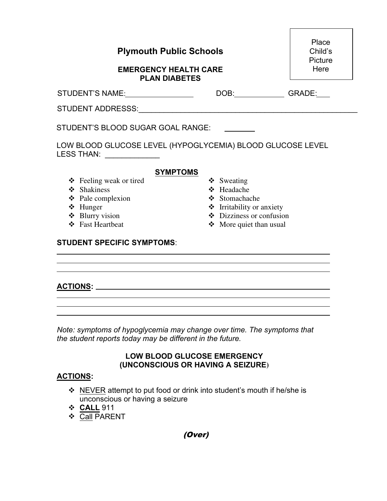| <b>Plymouth Public Schools</b><br><b>EMERGENCY HEALTH CARE</b>                                                       |            |  |
|----------------------------------------------------------------------------------------------------------------------|------------|--|
|                                                                                                                      |            |  |
| DOB: GRADE:                                                                                                          |            |  |
|                                                                                                                      |            |  |
| STUDENT'S BLOOD SUGAR GOAL RANGE:<br>LOW BLOOD GLUCOSE LEVEL (HYPOGLYCEMIA) BLOOD GLUCOSE LEVEL<br><b>LESS THAN:</b> |            |  |
|                                                                                                                      |            |  |
| ❖ Headache<br>❖ Stomachache<br>❖ Irritability or anxiety<br>$\div$ Dizziness or confusion<br>More quiet than usual   |            |  |
|                                                                                                                      | ❖ Sweating |  |

Г

# **ACTIONS:**

*Note: symptoms of hypoglycemia may change over time. The symptoms that the student reports today may be different in the future.* 

## **LOW BLOOD GLUCOSE EMERGENCY (UNCONSCIOUS OR HAVING A SEIZURE)**

### **ACTIONS:**

- NEVER attempt to put food or drink into student's mouth if he/she is unconscious or having a seizure
- **CALL** 911
- **❖** Call PARENT

(Over)